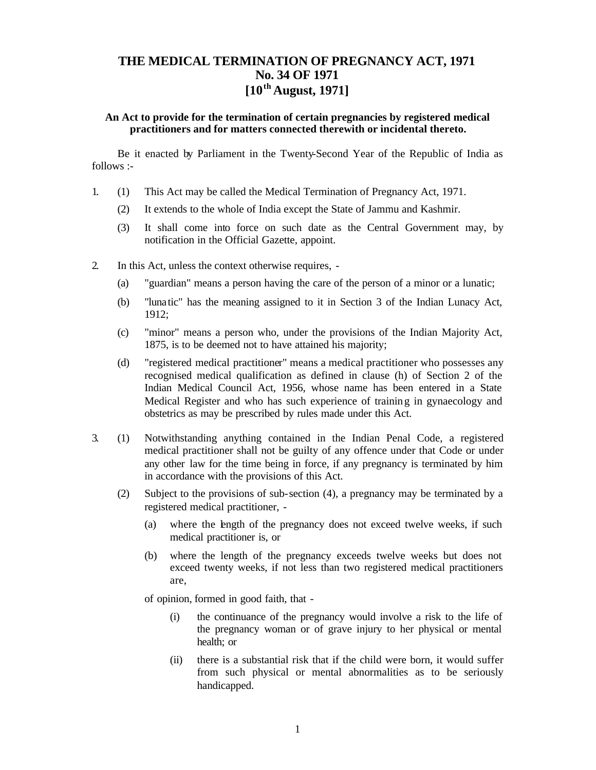# **THE MEDICAL TERMINATION OF PREGNANCY ACT, 1971 No. 34 OF 1971 [10th August, 1971]**

### **An Act to provide for the termination of certain pregnancies by registered medical practitioners and for matters connected therewith or incidental thereto.**

Be it enacted by Parliament in the Twenty-Second Year of the Republic of India as follows :-

- 1. (1) This Act may be called the Medical Termination of Pregnancy Act, 1971.
	- (2) It extends to the whole of India except the State of Jammu and Kashmir.
	- (3) It shall come into force on such date as the Central Government may, by notification in the Official Gazette, appoint.
- 2. In this Act, unless the context otherwise requires,
	- (a) "guardian" means a person having the care of the person of a minor or a lunatic;
	- (b) "lunatic" has the meaning assigned to it in Section 3 of the Indian Lunacy Act, 1912;
	- (c) "minor" means a person who, under the provisions of the Indian Majority Act, 1875, is to be deemed not to have attained his majority;
	- (d) "registered medical practitioner" means a medical practitioner who possesses any recognised medical qualification as defined in clause (h) of Section 2 of the Indian Medical Council Act, 1956, whose name has been entered in a State Medical Register and who has such experience of trainin g in gynaecology and obstetrics as may be prescribed by rules made under this Act.
- 3. (1) Notwithstanding anything contained in the Indian Penal Code, a registered medical practitioner shall not be guilty of any offence under that Code or under any other law for the time being in force, if any pregnancy is terminated by him in accordance with the provisions of this Act.
	- (2) Subject to the provisions of sub-section (4), a pregnancy may be terminated by a registered medical practitioner, -
		- (a) where the length of the pregnancy does not exceed twelve weeks, if such medical practitioner is, or
		- (b) where the length of the pregnancy exceeds twelve weeks but does not exceed twenty weeks, if not less than two registered medical practitioners are,

of opinion, formed in good faith, that -

- (i) the continuance of the pregnancy would involve a risk to the life of the pregnancy woman or of grave injury to her physical or mental health; or
- (ii) there is a substantial risk that if the child were born, it would suffer from such physical or mental abnormalities as to be seriously handicapped.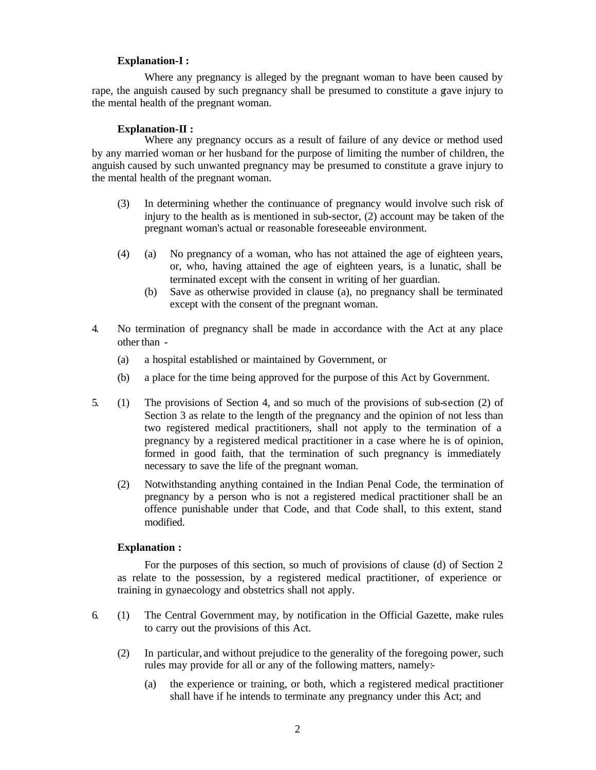### **Explanation-I :**

Where any pregnancy is alleged by the pregnant woman to have been caused by rape, the anguish caused by such pregnancy shall be presumed to constitute a grave injury to the mental health of the pregnant woman.

### **Explanation-II :**

Where any pregnancy occurs as a result of failure of any device or method used by any married woman or her husband for the purpose of limiting the number of children, the anguish caused by such unwanted pregnancy may be presumed to constitute a grave injury to the mental health of the pregnant woman.

- (3) In determining whether the continuance of pregnancy would involve such risk of injury to the health as is mentioned in sub-sector, (2) account may be taken of the pregnant woman's actual or reasonable foreseeable environment.
- (4) (a) No pregnancy of a woman, who has not attained the age of eighteen years, or, who, having attained the age of eighteen years, is a lunatic, shall be terminated except with the consent in writing of her guardian.
	- (b) Save as otherwise provided in clause (a), no pregnancy shall be terminated except with the consent of the pregnant woman.
- 4. No termination of pregnancy shall be made in accordance with the Act at any place other than -
	- (a) a hospital established or maintained by Government, or
	- (b) a place for the time being approved for the purpose of this Act by Government.
- 5. (1) The provisions of Section 4, and so much of the provisions of sub-section (2) of Section 3 as relate to the length of the pregnancy and the opinion of not less than two registered medical practitioners, shall not apply to the termination of a pregnancy by a registered medical practitioner in a case where he is of opinion, formed in good faith, that the termination of such pregnancy is immediately necessary to save the life of the pregnant woman.
	- (2) Notwithstanding anything contained in the Indian Penal Code, the termination of pregnancy by a person who is not a registered medical practitioner shall be an offence punishable under that Code, and that Code shall, to this extent, stand modified.

### **Explanation :**

For the purposes of this section, so much of provisions of clause (d) of Section 2 as relate to the possession, by a registered medical practitioner, of experience or training in gynaecology and obstetrics shall not apply.

- 6. (1) The Central Government may, by notification in the Official Gazette, make rules to carry out the provisions of this Act.
	- (2) In particular, and without prejudice to the generality of the foregoing power, such rules may provide for all or any of the following matters, namely:-
		- (a) the experience or training, or both, which a registered medical practitioner shall have if he intends to terminate any pregnancy under this Act; and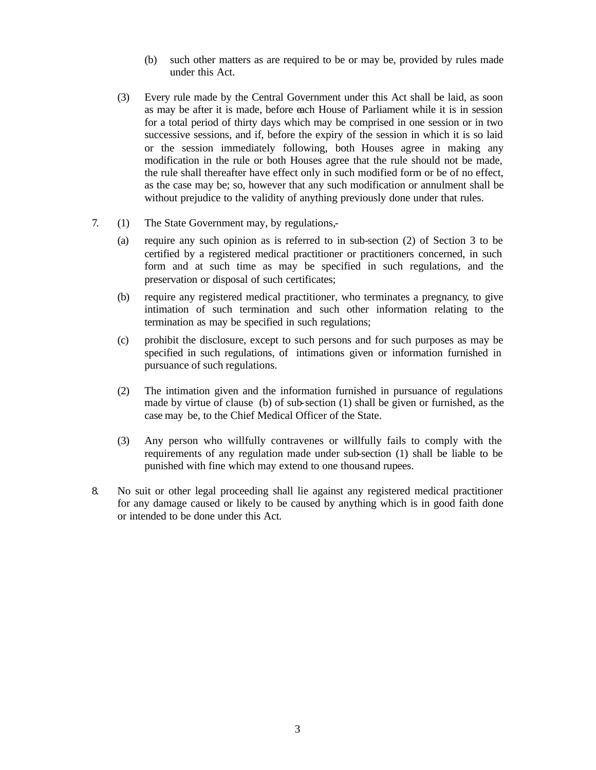- (b) such other matters as are required to be or may be, provided by rules made under this Act.
- (3) Every rule made by the Central Government under this Act shall be laid, as soon as may be after it is made, before each House of Parliament while it is in session for a total period of thirty days which may be comprised in one session or in two successive sessions, and if, before the expiry of the session in which it is so laid or the session immediately following, both Houses agree in making any modification in the rule or both Houses agree that the rule should not be made, the rule shall thereafter have effect only in such modified form or be of no effect, as the case may be; so, however that any such modification or annulment shall be without prejudice to the validity of anything previously done under that rules.
- 7. (1) The State Government may, by regulations,-
	- (a) require any such opinion as is referred to in sub-section (2) of Section 3 to be certified by a registered medical practitioner or practitioners concerned, in such form and at such time as may be specified in such regulations, and the preservation or disposal of such certificates;
	- (b) require any registered medical practitioner, who terminates a pregnancy, to give intimation of such termination and such other information relating to the termination as may be specified in such regulations;
	- (c) prohibit the disclosure, except to such persons and for such purposes as may be specified in such regulations, of intimations given or information furnished in pursuance of such regulations.
	- (2) The intimation given and the information furnished in pursuance of regulations made by virtue of clause (b) of sub-section (1) shall be given or furnished, as the case may be, to the Chief Medical Officer of the State.
	- (3) Any person who willfully contravenes or willfully fails to comply with the requirements of any regulation made under sub-section (1) shall be liable to be punished with fine which may extend to one thousand rupees.
- 8. No suit or other legal proceeding shall lie against any registered medical practitioner for any damage caused or likely to be caused by anything which is in good faith done or intended to be done under this Act.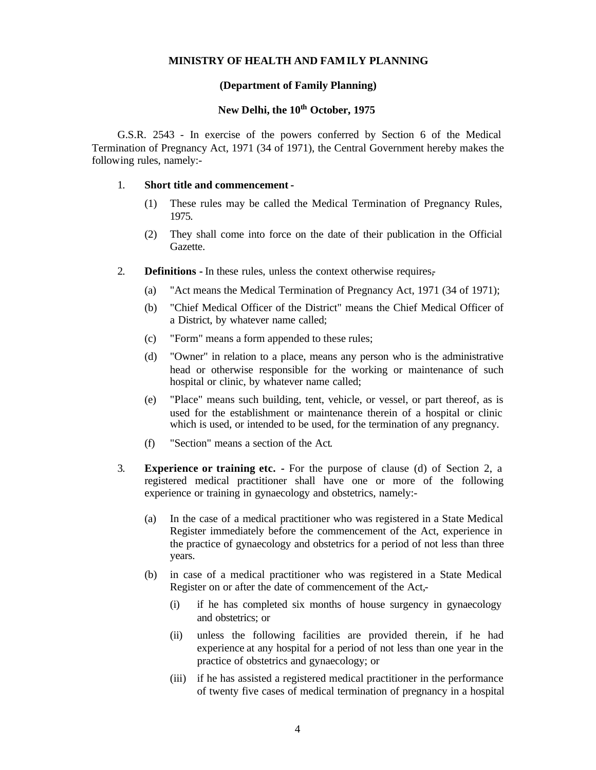#### **MINISTRY OF HEALTH AND FAMILY PLANNING**

### **(Department of Family Planning)**

## **New Delhi, the 10th October, 1975**

G.S.R. 2543 - In exercise of the powers conferred by Section 6 of the Medical Termination of Pregnancy Act, 1971 (34 of 1971), the Central Government hereby makes the following rules, namely:-

#### 1. **Short title and commencement -**

- (1) These rules may be called the Medical Termination of Pregnancy Rules, 1975.
- (2) They shall come into force on the date of their publication in the Official Gazette.
- 2. **Definitions -** In these rules, unless the context otherwise requires,-
	- (a) "Act means the Medical Termination of Pregnancy Act, 1971 (34 of 1971);
	- (b) "Chief Medical Officer of the District" means the Chief Medical Officer of a District, by whatever name called;
	- (c) "Form" means a form appended to these rules;
	- (d) "Owner" in relation to a place, means any person who is the administrative head or otherwise responsible for the working or maintenance of such hospital or clinic, by whatever name called;
	- (e) "Place" means such building, tent, vehicle, or vessel, or part thereof, as is used for the establishment or maintenance therein of a hospital or clinic which is used, or intended to be used, for the termination of any pregnancy.
	- (f) "Section" means a section of the Act.
- 3. **Experience or training etc. -** For the purpose of clause (d) of Section 2, a registered medical practitioner shall have one or more of the following experience or training in gynaecology and obstetrics, namely:-
	- (a) In the case of a medical practitioner who was registered in a State Medical Register immediately before the commencement of the Act, experience in the practice of gynaecology and obstetrics for a period of not less than three years.
	- (b) in case of a medical practitioner who was registered in a State Medical Register on or after the date of commencement of the Act,-
		- (i) if he has completed six months of house surgency in gynaecology and obstetrics; or
		- (ii) unless the following facilities are provided therein, if he had experience at any hospital for a period of not less than one year in the practice of obstetrics and gynaecology; or
		- (iii) if he has assisted a registered medical practitioner in the performance of twenty five cases of medical termination of pregnancy in a hospital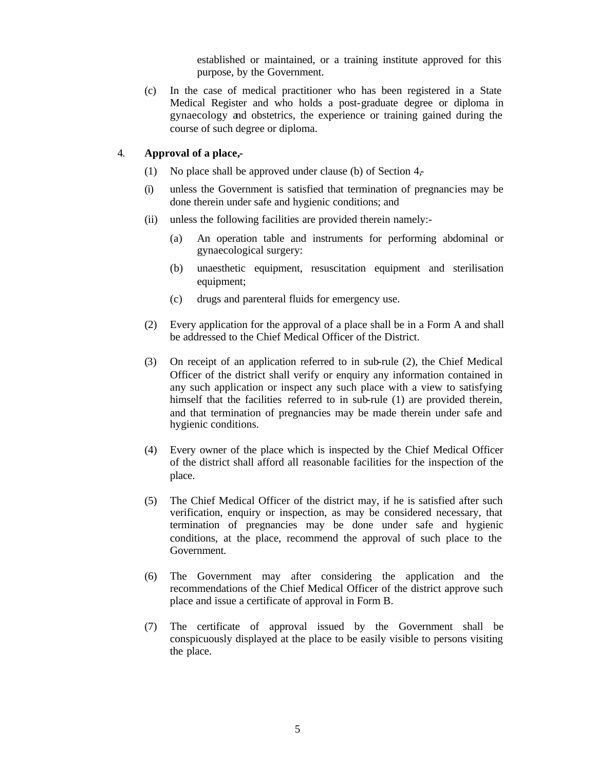established or maintained, or a training institute approved for this purpose, by the Government.

(c) In the case of medical practitioner who has been registered in a State Medical Register and who holds a post-graduate degree or diploma in gynaecology and obstetrics, the experience or training gained during the course of such degree or diploma.

### 4. **Approval of a place,-**

- (1) No place shall be approved under clause (b) of Section 4,-
- (i) unless the Government is satisfied that termination of pregnancies may be done therein under safe and hygienic conditions; and
- (ii) unless the following facilities are provided therein namely:-
	- (a) An operation table and instruments for performing abdominal or gynaecological surgery:
	- (b) unaesthetic equipment, resuscitation equipment and sterilisation equipment;
	- (c) drugs and parenteral fluids for emergency use.
- (2) Every application for the approval of a place shall be in a Form A and shall be addressed to the Chief Medical Officer of the District.
- (3) On receipt of an application referred to in sub-rule (2), the Chief Medical Officer of the district shall verify or enquiry any information contained in any such application or inspect any such place with a view to satisfying himself that the facilities referred to in sub-rule (1) are provided therein, and that termination of pregnancies may be made therein under safe and hygienic conditions.
- (4) Every owner of the place which is inspected by the Chief Medical Officer of the district shall afford all reasonable facilities for the inspection of the place.
- (5) The Chief Medical Officer of the district may, if he is satisfied after such verification, enquiry or inspection, as may be considered necessary, that termination of pregnancies may be done under safe and hygienic conditions, at the place, recommend the approval of such place to the Government.
- (6) The Government may after considering the application and the recommendations of the Chief Medical Officer of the district approve such place and issue a certificate of approval in Form B.
- (7) The certificate of approval issued by the Government shall be conspicuously displayed at the place to be easily visible to persons visiting the place.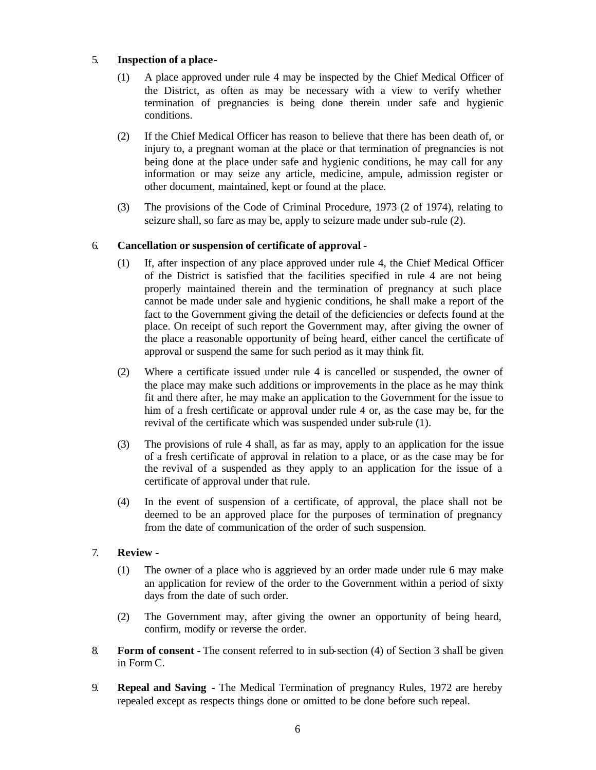### 5. **Inspection of a place-**

- (1) A place approved under rule 4 may be inspected by the Chief Medical Officer of the District, as often as may be necessary with a view to verify whether termination of pregnancies is being done therein under safe and hygienic conditions.
- (2) If the Chief Medical Officer has reason to believe that there has been death of, or injury to, a pregnant woman at the place or that termination of pregnancies is not being done at the place under safe and hygienic conditions, he may call for any information or may seize any article, medicine, ampule, admission register or other document, maintained, kept or found at the place.
- (3) The provisions of the Code of Criminal Procedure, 1973 (2 of 1974), relating to seizure shall, so fare as may be, apply to seizure made under sub-rule (2).

# 6. **Cancellation or suspension of certificate of approval -**

- (1) If, after inspection of any place approved under rule 4, the Chief Medical Officer of the District is satisfied that the facilities specified in rule 4 are not being properly maintained therein and the termination of pregnancy at such place cannot be made under sale and hygienic conditions, he shall make a report of the fact to the Government giving the detail of the deficiencies or defects found at the place. On receipt of such report the Government may, after giving the owner of the place a reasonable opportunity of being heard, either cancel the certificate of approval or suspend the same for such period as it may think fit.
- (2) Where a certificate issued under rule 4 is cancelled or suspended, the owner of the place may make such additions or improvements in the place as he may think fit and there after, he may make an application to the Government for the issue to him of a fresh certificate or approval under rule 4 or, as the case may be, for the revival of the certificate which was suspended under sub-rule (1).
- (3) The provisions of rule 4 shall, as far as may, apply to an application for the issue of a fresh certificate of approval in relation to a place, or as the case may be for the revival of a suspended as they apply to an application for the issue of a certificate of approval under that rule.
- (4) In the event of suspension of a certificate, of approval, the place shall not be deemed to be an approved place for the purposes of termination of pregnancy from the date of communication of the order of such suspension.

### 7. **Review -**

- (1) The owner of a place who is aggrieved by an order made under rule 6 may make an application for review of the order to the Government within a period of sixty days from the date of such order.
- (2) The Government may, after giving the owner an opportunity of being heard, confirm, modify or reverse the order.
- 8. **Form of consent -** The consent referred to in sub-section (4) of Section 3 shall be given in Form C.
- 9. **Repeal and Saving -** The Medical Termination of pregnancy Rules, 1972 are hereby repealed except as respects things done or omitted to be done before such repeal.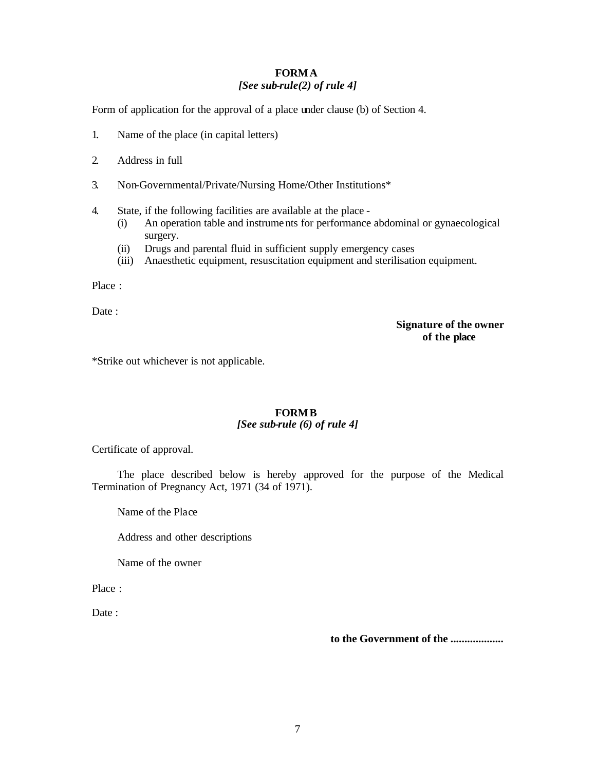## **FORM A** *[See sub-rule(2) of rule 4]*

Form of application for the approval of a place under clause (b) of Section 4.

- 1. Name of the place (in capital letters)
- 2. Address in full
- 3. Non-Governmental/Private/Nursing Home/Other Institutions\*
- 4. State, if the following facilities are available at the place
	- (i) An operation table and instrume nts for performance abdominal or gynaecological surgery.
	- (ii) Drugs and parental fluid in sufficient supply emergency cases
	- (iii) Anaesthetic equipment, resuscitation equipment and sterilisation equipment.

Place :

Date:

**Signature of the owner of the place**

\*Strike out whichever is not applicable.

### **FORM B** *[See sub-rule (6) of rule 4]*

Certificate of approval.

The place described below is hereby approved for the purpose of the Medical Termination of Pregnancy Act, 1971 (34 of 1971).

Name of the Place

Address and other descriptions

Name of the owner

Place :

Date:

**to the Government of the ...................**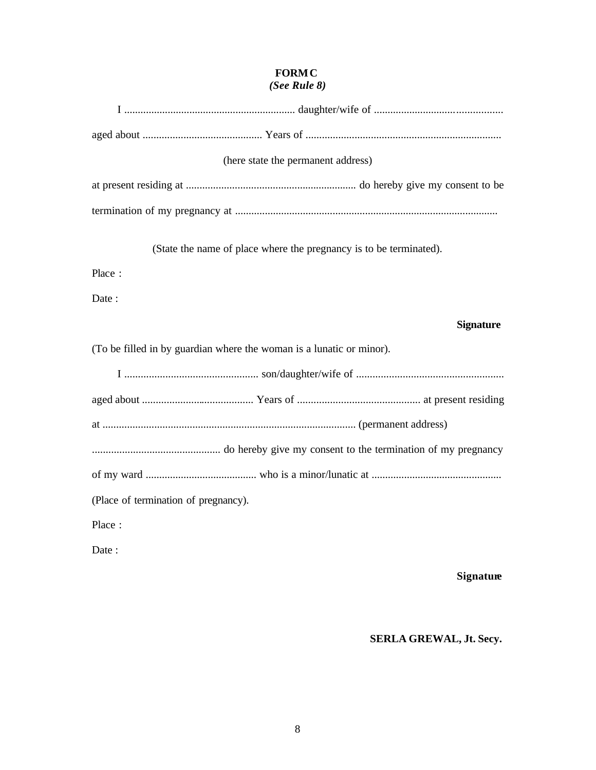# **FORM C** *(See Rule 8)*

| (here state the permanent address)                                   |
|----------------------------------------------------------------------|
|                                                                      |
|                                                                      |
| (State the name of place where the pregnancy is to be terminated).   |
| Place:                                                               |
| Date:                                                                |
| <b>Signature</b>                                                     |
|                                                                      |
| (To be filled in by guardian where the woman is a lunatic or minor). |
|                                                                      |
|                                                                      |
|                                                                      |
|                                                                      |
|                                                                      |
| (Place of termination of pregnancy).                                 |
| Place:                                                               |

# **Signature**

# **SERLA GREWAL, Jt. Secy.**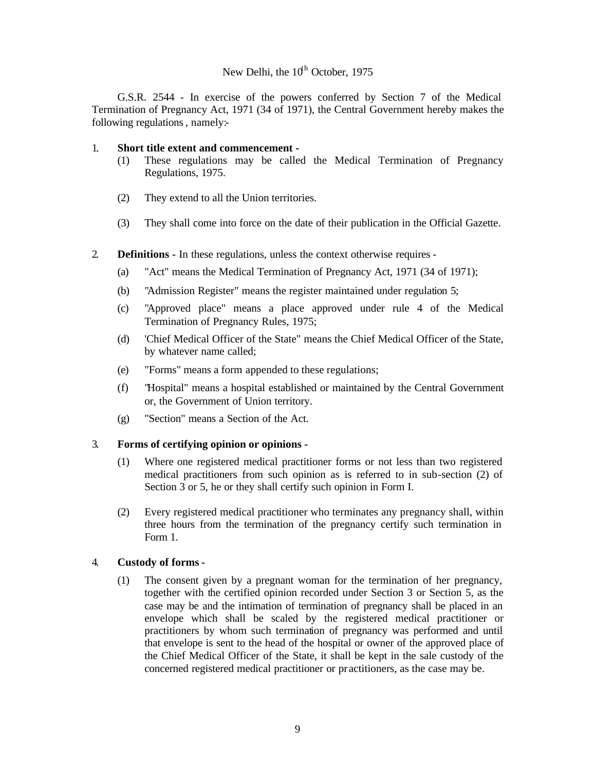# New Delhi, the  $10^{th}$  October, 1975

G.S.R. 2544 - In exercise of the powers conferred by Section 7 of the Medical Termination of Pregnancy Act, 1971 (34 of 1971), the Central Government hereby makes the following regulations, namely:-

### 1. **Short title extent and commencement -**

- (1) These regulations may be called the Medical Termination of Pregnancy Regulations, 1975.
- (2) They extend to all the Union territories.
- (3) They shall come into force on the date of their publication in the Official Gazette.
- 2. **Definitions -** In these regulations, unless the context otherwise requires
	- (a) "Act" means the Medical Termination of Pregnancy Act, 1971 (34 of 1971);
	- (b) "Admission Register" means the register maintained under regulation 5;
	- (c) "Approved place" means a place approved under rule 4 of the Medical Termination of Pregnancy Rules, 1975;
	- (d) 'Chief Medical Officer of the State" means the Chief Medical Officer of the State, by whatever name called;
	- (e) "Forms" means a form appended to these regulations;
	- (f) "Hospital" means a hospital established or maintained by the Central Government or, the Government of Union territory.
	- (g) "Section" means a Section of the Act.

### 3. **Forms of certifying opinion or opinions -**

- (1) Where one registered medical practitioner forms or not less than two registered medical practitioners from such opinion as is referred to in sub-section (2) of Section 3 or 5, he or they shall certify such opinion in Form I.
- (2) Every registered medical practitioner who terminates any pregnancy shall, within three hours from the termination of the pregnancy certify such termination in Form 1.

### 4. **Custody of forms -**

(1) The consent given by a pregnant woman for the termination of her pregnancy, together with the certified opinion recorded under Section 3 or Section 5, as the case may be and the intimation of termination of pregnancy shall be placed in an envelope which shall be scaled by the registered medical practitioner or practitioners by whom such termination of pregnancy was performed and until that envelope is sent to the head of the hospital or owner of the approved place of the Chief Medical Officer of the State, it shall be kept in the sale custody of the concerned registered medical practitioner or pr actitioners, as the case may be.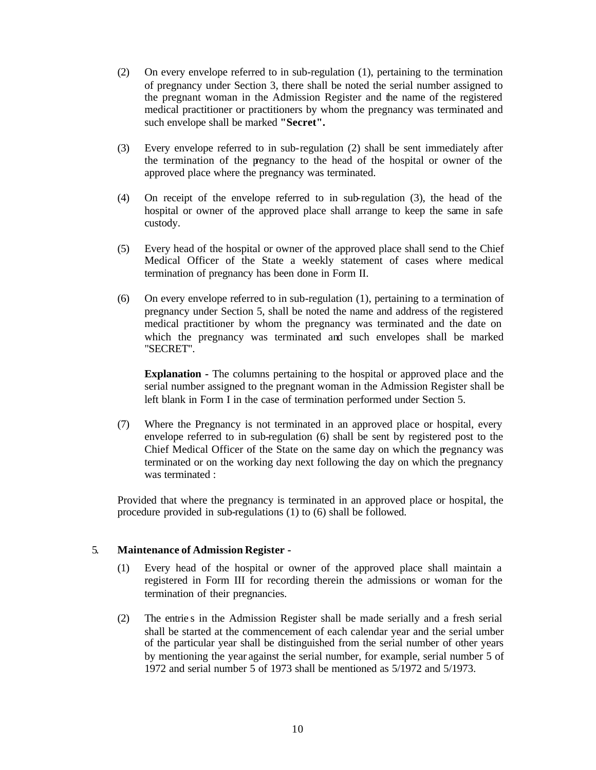- (2) On every envelope referred to in sub-regulation (1), pertaining to the termination of pregnancy under Section 3, there shall be noted the serial number assigned to the pregnant woman in the Admission Register and the name of the registered medical practitioner or practitioners by whom the pregnancy was terminated and such envelope shall be marked **"Secret".**
- (3) Every envelope referred to in sub-regulation (2) shall be sent immediately after the termination of the pregnancy to the head of the hospital or owner of the approved place where the pregnancy was terminated.
- (4) On receipt of the envelope referred to in sub-regulation (3), the head of the hospital or owner of the approved place shall arrange to keep the same in safe custody.
- (5) Every head of the hospital or owner of the approved place shall send to the Chief Medical Officer of the State a weekly statement of cases where medical termination of pregnancy has been done in Form II.
- (6) On every envelope referred to in sub-regulation (1), pertaining to a termination of pregnancy under Section 5, shall be noted the name and address of the registered medical practitioner by whom the pregnancy was terminated and the date on which the pregnancy was terminated and such envelopes shall be marked "SECRET".

**Explanation -** The columns pertaining to the hospital or approved place and the serial number assigned to the pregnant woman in the Admission Register shall be left blank in Form I in the case of termination performed under Section 5.

(7) Where the Pregnancy is not terminated in an approved place or hospital, every envelope referred to in sub-regulation (6) shall be sent by registered post to the Chief Medical Officer of the State on the same day on which the pregnancy was terminated or on the working day next following the day on which the pregnancy was terminated :

Provided that where the pregnancy is terminated in an approved place or hospital, the procedure provided in sub-regulations (1) to (6) shall be followed.

### 5. **Maintenance of Admission Register -**

- (1) Every head of the hospital or owner of the approved place shall maintain a registered in Form III for recording therein the admissions or woman for the termination of their pregnancies.
- (2) The entrie s in the Admission Register shall be made serially and a fresh serial shall be started at the commencement of each calendar year and the serial umber of the particular year shall be distinguished from the serial number of other years by mentioning the year against the serial number, for example, serial number 5 of 1972 and serial number 5 of 1973 shall be mentioned as 5/1972 and 5/1973.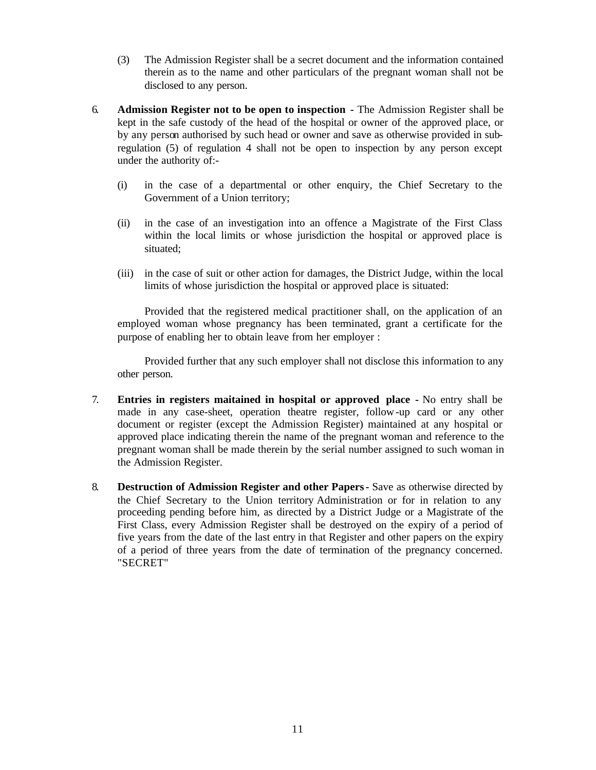- (3) The Admission Register shall be a secret document and the information contained therein as to the name and other particulars of the pregnant woman shall not be disclosed to any person.
- 6. **Admission Register not to be open to inspection -** The Admission Register shall be kept in the safe custody of the head of the hospital or owner of the approved place, or by any person authorised by such head or owner and save as otherwise provided in subregulation (5) of regulation 4 shall not be open to inspection by any person except under the authority of:-
	- (i) in the case of a departmental or other enquiry, the Chief Secretary to the Government of a Union territory;
	- (ii) in the case of an investigation into an offence a Magistrate of the First Class within the local limits or whose jurisdiction the hospital or approved place is situated;
	- (iii) in the case of suit or other action for damages, the District Judge, within the local limits of whose jurisdiction the hospital or approved place is situated:

Provided that the registered medical practitioner shall, on the application of an employed woman whose pregnancy has been terminated, grant a certificate for the purpose of enabling her to obtain leave from her employer :

Provided further that any such employer shall not disclose this information to any other person.

- 7. **Entries in registers maitained in hospital or approved place -** No entry shall be made in any case-sheet, operation theatre register, follow-up card or any other document or register (except the Admission Register) maintained at any hospital or approved place indicating therein the name of the pregnant woman and reference to the pregnant woman shall be made therein by the serial number assigned to such woman in the Admission Register.
- 8. **Destruction of Admission Register and other Papers -** Save as otherwise directed by the Chief Secretary to the Union territory Administration or for in relation to any proceeding pending before him, as directed by a District Judge or a Magistrate of the First Class, every Admission Register shall be destroyed on the expiry of a period of five years from the date of the last entry in that Register and other papers on the expiry of a period of three years from the date of termination of the pregnancy concerned. "SECRET"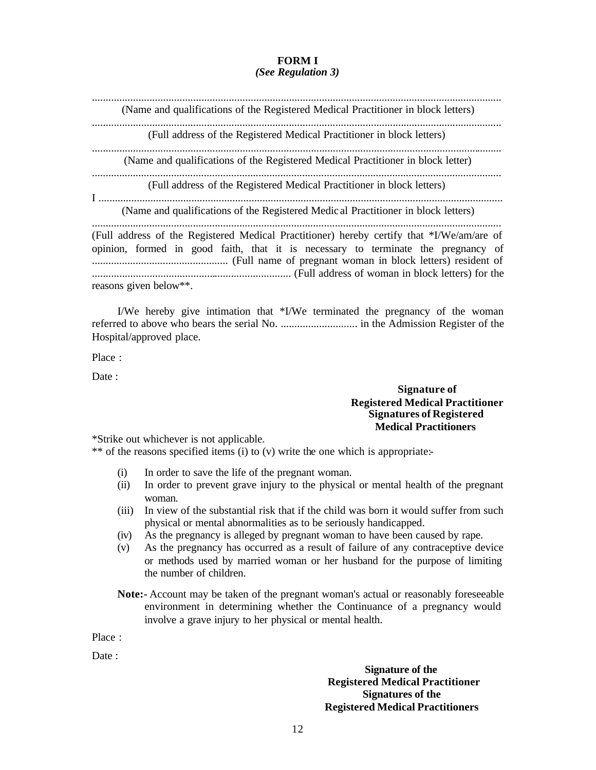### **FORM I** *(See Regulation 3)*

...................................................................................................................................................... (Name and qualifications of the Registered Medical Practitioner in block letters) ...................................................................................................................................................... (Full address of the Registered Medical Practitioner in block letters) ...................................................................................................................................................... (Name and qualifications of the Registered Medical Practitioner in block letter) ...................................................................................................................................................... (Full address of the Registered Medical Practitioner in block letters) I .................................................................................................................................................... (Name and qualifications of the Registered Medic al Practitioner in block letters) ...................................................................................................................................................... (Full address of the Registered Medical Practitioner) hereby certify that \*I/We/am/are of opinion, formed in good faith, that it is necessary to terminate the pregnancy of .................................................. (Full name of pregnant woman in block letters) resident of ......................................................................... (Full address of woman in block letters) for the reasons given below\*\*.

I/We hereby give intimation that \*I/We terminated the pregnancy of the woman referred to above who bears the serial No. ............................ in the Admission Register of the Hospital/approved place.

Place :

Date :

## **Signature of Registered Medical Practitioner Signatures of Registered Medical Practitioners**

\*Strike out whichever is not applicable.

\*\* of the reasons specified items (i) to (v) write the one which is appropriate:-

- (i) In order to save the life of the pregnant woman.
- (ii) In order to prevent grave injury to the physical or mental health of the pregnant woman.
- (iii) In view of the substantial risk that if the child was born it would suffer from such physical or mental abnormalities as to be seriously handicapped.
- (iv) As the pregnancy is alleged by pregnant woman to have been caused by rape.
- (v) As the pregnancy has occurred as a result of failure of any contraceptive device or methods used by married woman or her husband for the purpose of limiting the number of children.
- **Note:-** Account may be taken of the pregnant woman's actual or reasonably foreseeable environment in determining whether the Continuance of a pregnancy would involve a grave injury to her physical or mental health.

Place :

Date :

**Signature of the Registered Medical Practitioner Signatures of the Registered Medical Practitioners**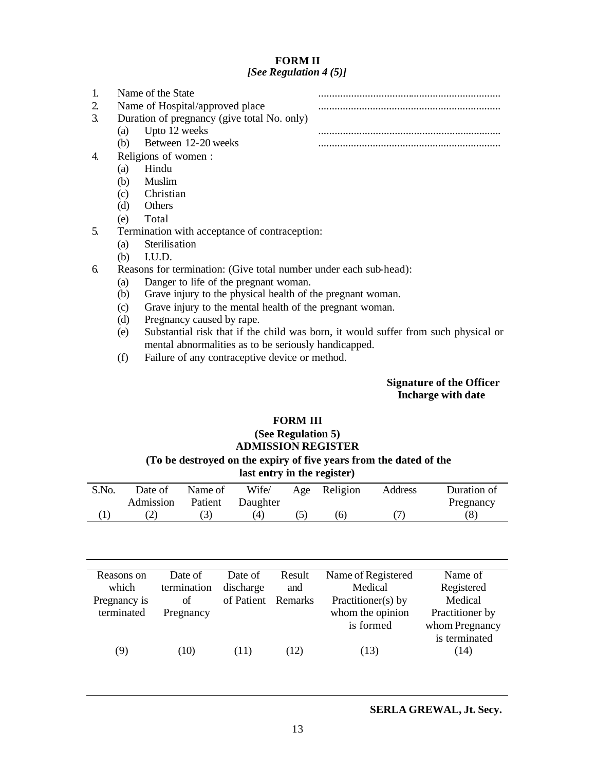### **FORM II** *[See Regulation 4 (5)]*

| Name of the State                           |  |
|---------------------------------------------|--|
| Name of Hospital/approved place             |  |
| Duration of pregnancy (give total No. only) |  |
| Upto 12 weeks<br>(a)                        |  |
| Between 12-20 weeks<br>(h)                  |  |
| Religions of women:                         |  |

- (a) Hindu
- (b) Muslim
- (c) Christian
- (d) Others
- (e) Total
- 5. Termination with acceptance of contraception:
	- (a) Sterilisation
	- (b) I.U.D.
- 6. Reasons for termination: (Give total number under each sub-head):
	- (a) Danger to life of the pregnant woman.
	- (b) Grave injury to the physical health of the pregnant woman.
	- (c) Grave injury to the mental health of the pregnant woman.
	- (d) Pregnancy caused by rape.
	- (e) Substantial risk that if the child was born, it would suffer from such physical or mental abnormalities as to be seriously handicapped.
	- (f) Failure of any contraceptive device or method.

### **Signature of the Officer Incharge with date**

## **FORM III**

# **(See Regulation 5) ADMISSION REGISTER**

# **(To be destroyed on the expiry of five years from the dated of the**

| last entry in the register) |  |  |  |  |  |
|-----------------------------|--|--|--|--|--|
|-----------------------------|--|--|--|--|--|

| S.No. | Date of                    | Name of |     | Wife/ Age Religion | Address | Duration of |
|-------|----------------------------|---------|-----|--------------------|---------|-------------|
|       | Admission Patient Daughter |         |     |                    |         | Pregnancy   |
|       |                            |         | (4) |                    |         | (8)         |

| Reasons on   | Date of     | Date of    | Result  | Name of Registered | Name of         |
|--------------|-------------|------------|---------|--------------------|-----------------|
| which        | termination | discharge  | and     | Medical            | Registered      |
| Pregnancy is | of          | of Patient | Remarks | Practitioner(s) by | Medical         |
| terminated   | Pregnancy   |            |         | whom the opinion   | Practitioner by |
|              |             |            |         | is formed          | whom Pregnancy  |
|              |             |            |         |                    | is terminated   |
| (9)          | (10)        | (11)       | (12)    | (13)               | (14)            |
|              |             |            |         |                    |                 |

#### **SERLA GREWAL, Jt. Secy.**